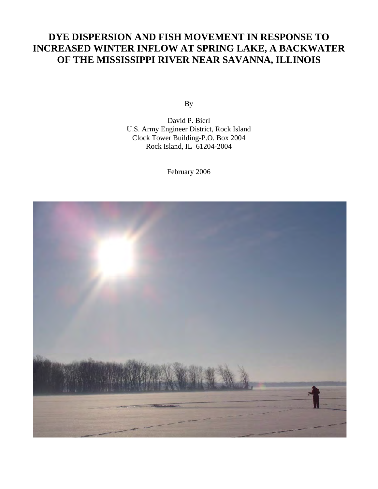# **DYE DISPERSION AND FISH MOVEMENT IN RESPONSE TO INCREASED WINTER INFLOW AT SPRING LAKE, A BACKWATER OF THE MISSISSIPPI RIVER NEAR SAVANNA, ILLINOIS**

By

David P. Bierl U.S. Army Engineer District, Rock Island Clock Tower Building-P.O. Box 2004 Rock Island, IL 61204-2004

February 2006

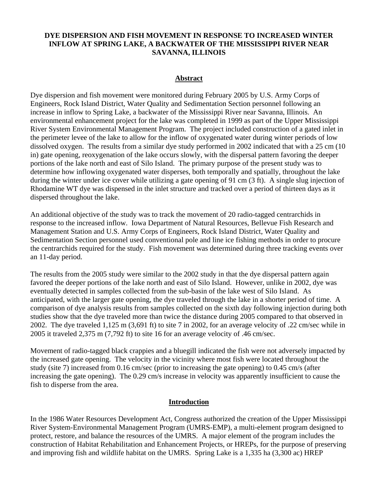## **DYE DISPERSION AND FISH MOVEMENT IN RESPONSE TO INCREASED WINTER INFLOW AT SPRING LAKE, A BACKWATER OF THE MISSISSIPPI RIVER NEAR SAVANNA, ILLINOIS**

#### **Abstract**

Dye dispersion and fish movement were monitored during February 2005 by U.S. Army Corps of Engineers, Rock Island District, Water Quality and Sedimentation Section personnel following an increase in inflow to Spring Lake, a backwater of the Mississippi River near Savanna, Illinois. An environmental enhancement project for the lake was completed in 1999 as part of the Upper Mississippi River System Environmental Management Program. The project included construction of a gated inlet in the perimeter levee of the lake to allow for the inflow of oxygenated water during winter periods of low dissolved oxygen. The results from a similar dye study performed in 2002 indicated that with a 25 cm (10) in) gate opening, reoxygenation of the lake occurs slowly, with the dispersal pattern favoring the deeper portions of the lake north and east of Silo Island. The primary purpose of the present study was to determine how inflowing oxygenated water disperses, both temporally and spatially, throughout the lake during the winter under ice cover while utilizing a gate opening of 91 cm (3 ft). A single slug injection of Rhodamine WT dye was dispensed in the inlet structure and tracked over a period of thirteen days as it dispersed throughout the lake.

An additional objective of the study was to track the movement of 20 radio-tagged centrarchids in response to the increased inflow. Iowa Department of Natural Resources, Bellevue Fish Research and Management Station and U.S. Army Corps of Engineers, Rock Island District, Water Quality and Sedimentation Section personnel used conventional pole and line ice fishing methods in order to procure the centrarchids required for the study. Fish movement was determined during three tracking events over an 11-day period.

The results from the 2005 study were similar to the 2002 study in that the dye dispersal pattern again favored the deeper portions of the lake north and east of Silo Island. However, unlike in 2002, dye was eventually detected in samples collected from the sub-basin of the lake west of Silo Island. As anticipated, with the larger gate opening, the dye traveled through the lake in a shorter period of time. A comparison of dye analysis results from samples collected on the sixth day following injection during both studies show that the dye traveled more than twice the distance during 2005 compared to that observed in 2002. The dye traveled 1,125 m (3,691 ft) to site 7 in 2002, for an average velocity of .22 cm/sec while in 2005 it traveled 2,375 m (7,792 ft) to site 16 for an average velocity of .46 cm/sec.

Movement of radio-tagged black crappies and a bluegill indicated the fish were not adversely impacted by the increased gate opening. The velocity in the vicinity where most fish were located throughout the study (site 7) increased from 0.16 cm/sec (prior to increasing the gate opening) to 0.45 cm/s (after increasing the gate opening). The 0.29 cm/s increase in velocity was apparently insufficient to cause the fish to disperse from the area.

#### **Introduction**

In the 1986 Water Resources Development Act, Congress authorized the creation of the Upper Mississippi River System-Environmental Management Program (UMRS-EMP), a multi-element program designed to protect, restore, and balance the resources of the UMRS. A major element of the program includes the construction of Habitat Rehabilitation and Enhancement Projects, or HREPs, for the purpose of preserving and improving fish and wildlife habitat on the UMRS. Spring Lake is a 1,335 ha (3,300 ac) HREP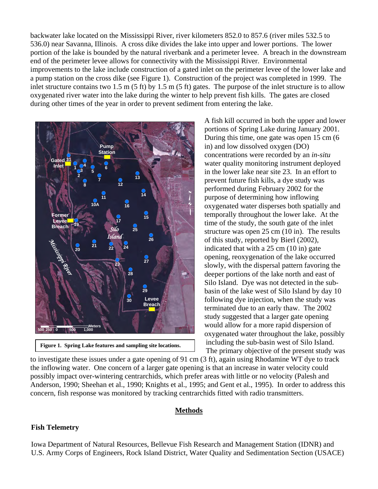backwater lake located on the Mississippi River, river kilometers 852.0 to 857.6 (river miles 532.5 to 536.0) near Savanna, Illinois. A cross dike divides the lake into upper and lower portions. The lower portion of the lake is bounded by the natural riverbank and a perimeter levee. A breach in the downstream end of the perimeter levee allows for connectivity with the Mississippi River. Environmental improvements to the lake include construction of a gated inlet on the perimeter levee of the lower lake and a pump station on the cross dike (see Figure 1). Construction of the project was completed in 1999. The inlet structure contains two 1.5 m (5 ft) by 1.5 m (5 ft) gates. The purpose of the inlet structure is to allow oxygenated river water into the lake during the winter to help prevent fish kills. The gates are closed during other times of the year in order to prevent sediment from entering the lake.



**Figure 1. Spring Lake features and sampling site locations.** 

A fish kill occurred in both the upper and lower portions of Spring Lake during January 2001. During this time, one gate was open 15 cm (6 in) and low dissolved oxygen (DO) concentrations were recorded by an *in-situ* water quality monitoring instrument deployed in the lower lake near site 23. In an effort to prevent future fish kills, a dye study was performed during February 2002 for the purpose of determining how inflowing oxygenated water disperses both spatially and temporally throughout the lower lake. At the time of the study, the south gate of the inlet structure was open 25 cm (10 in). The results of this study, reported by Bierl (2002), indicated that with a 25 cm (10 in) gate opening, reoxygenation of the lake occurred slowly, with the dispersal pattern favoring the deeper portions of the lake north and east of Silo Island. Dye was not detected in the subbasin of the lake west of Silo Island by day 10 following dye injection, when the study was terminated due to an early thaw. The 2002 study suggested that a larger gate opening would allow for a more rapid dispersion of oxygenated water throughout the lake, possibly including the sub-basin west of Silo Island.

The primary objective of the present study was

to investigate these issues under a gate opening of 91 cm (3 ft), again using Rhodamine WT dye to track the inflowing water. One concern of a larger gate opening is that an increase in water velocity could possibly impact over-wintering centrarchids, which prefer areas with little or no velocity (Palesh and Anderson, 1990; Sheehan et al., 1990; Knights et al., 1995; and Gent et al., 1995). In order to address this concern, fish response was monitored by tracking centrarchids fitted with radio transmitters.

#### **Methods**

#### **Fish Telemetry**

Iowa Department of Natural Resources, Bellevue Fish Research and Management Station (IDNR) and U.S. Army Corps of Engineers, Rock Island District, Water Quality and Sedimentation Section (USACE)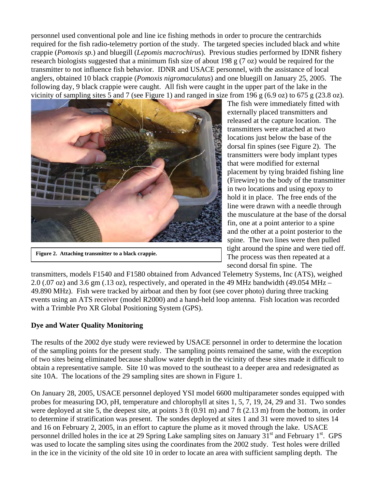personnel used conventional pole and line ice fishing methods in order to procure the centrarchids required for the fish radio-telemetry portion of the study. The targeted species included black and white crappie (*Pomoxis sp.*) and bluegill (*Lepomis macrochirus*). Previous studies performed by IDNR fishery research biologists suggested that a minimum fish size of about 198 g (7 oz) would be required for the transmitter to not influence fish behavior. IDNR and USACE personnel, with the assistance of local anglers, obtained 10 black crappie (*Pomoxis nigromaculatus*) and one bluegill on January 25, 2005. The following day, 9 black crappie were caught. All fish were caught in the upper part of the lake in the vicinity of sampling sites 5 and 7 (see Figure 1) and ranged in size from 196 g (6.9 oz) to 675 g (23.8 oz).



**Figure 2. Attaching transmitter to a black crappie.** 

The fish were immediately fitted with externally placed transmitters and released at the capture location. The transmitters were attached at two locations just below the base of the dorsal fin spines (see Figure 2). The transmitters were body implant types that were modified for external placement by tying braided fishing line (Firewire) to the body of the transmitter in two locations and using epoxy to hold it in place. The free ends of the line were drawn with a needle through the musculature at the base of the dorsal fin, one at a point anterior to a spine and the other at a point posterior to the spine. The two lines were then pulled tight around the spine and were tied off. The process was then repeated at a second dorsal fin spine. The

transmitters, models F1540 and F1580 obtained from Advanced Telemetry Systems, Inc (ATS), weighed 2.0 (.07 oz) and 3.6 gm (.13 oz), respectively, and operated in the 49 MHz bandwidth (49.054 MHz – 49.890 MHz). Fish were tracked by airboat and then by foot (see cover photo) during three tracking events using an ATS receiver (model R2000) and a hand-held loop antenna. Fish location was recorded with a Trimble Pro XR Global Positioning System (GPS).

## **Dye and Water Quality Monitoring**

The results of the 2002 dye study were reviewed by USACE personnel in order to determine the location of the sampling points for the present study. The sampling points remained the same, with the exception of two sites being eliminated because shallow water depth in the vicinity of these sites made it difficult to obtain a representative sample. Site 10 was moved to the southeast to a deeper area and redesignated as site 10A. The locations of the 29 sampling sites are shown in Figure 1.

On January 28, 2005, USACE personnel deployed YSI model 6600 multiparameter sondes equipped with probes for measuring DO, pH, temperature and chlorophyll at sites 1, 5, 7, 19, 24, 29 and 31. Two sondes were deployed at site 5, the deepest site, at points 3 ft (0.91 m) and 7 ft (2.13 m) from the bottom, in order to determine if stratification was present. The sondes deployed at sites 1 and 31 were moved to sites 14 and 16 on February 2, 2005, in an effort to capture the plume as it moved through the lake. USACE personnel drilled holes in the ice at 29 Spring Lake sampling sites on January 31<sup>st</sup> and February 1<sup>st</sup>. GPS was used to locate the sampling sites using the coordinates from the 2002 study. Test holes were drilled in the ice in the vicinity of the old site 10 in order to locate an area with sufficient sampling depth. The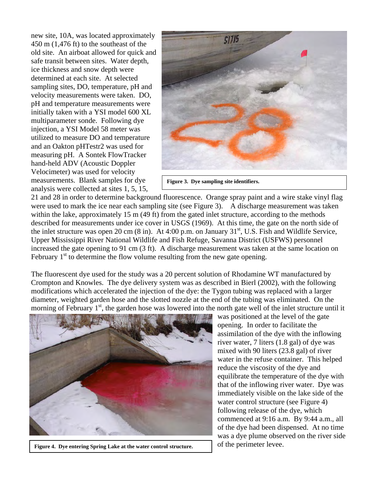new site, 10A, was located approximately 450 m (1,476 ft) to the southeast of the old site. An airboat allowed for quick and safe transit between sites. Water depth, ice thickness and snow depth were determined at each site. At selected sampling sites, DO, temperature, pH and velocity measurements were taken. DO, pH and temperature measurements were initially taken with a YSI model 600 XL multiparameter sonde. Following dye injection, a YSI Model 58 meter was utilized to measure DO and temperature and an Oakton pHTestr2 was used for measuring pH. A Sontek FlowTracker hand-held ADV (Acoustic Doppler Velocimeter) was used for velocity measurements. Blank samples for dye analysis were collected at sites 1, 5, 15,



**Figure 3. Dye sampling site identifiers.** 

21 and 28 in order to determine background fluorescence. Orange spray paint and a wire stake vinyl flag were used to mark the ice near each sampling site (see Figure 3). A discharge measurement was taken within the lake, approximately 15 m (49 ft) from the gated inlet structure, according to the methods described for measurements under ice cover in USGS (1969). At this time, the gate on the north side of the inlet structure was open 20 cm (8 in). At 4:00 p.m. on January  $31<sup>st</sup>$ , U.S. Fish and Wildlife Service, Upper Mississippi River National Wildlife and Fish Refuge, Savanna District (USFWS) personnel increased the gate opening to 91 cm (3 ft). A discharge measurement was taken at the same location on February  $1<sup>st</sup>$  to determine the flow volume resulting from the new gate opening.

The fluorescent dye used for the study was a 20 percent solution of Rhodamine WT manufactured by Crompton and Knowles. The dye delivery system was as described in Bierl (2002), with the following modifications which accelerated the injection of the dye: the Tygon tubing was replaced with a larger diameter, weighted garden hose and the slotted nozzle at the end of the tubing was eliminated. On the morning of February 1<sup>st</sup>, the garden hose was lowered into the north gate well of the inlet structure until it



**Figure 4. Dye entering Spring Lake at the water control structure.** 

was positioned at the level of the gate opening. In order to facilitate the assimilation of the dye with the inflowing river water, 7 liters (1.8 gal) of dye was mixed with 90 liters (23.8 gal) of river water in the refuse container. This helped reduce the viscosity of the dye and equilibrate the temperature of the dye with that of the inflowing river water. Dye was immediately visible on the lake side of the water control structure (see Figure 4) following release of the dye, which commenced at 9:16 a.m. By 9:44 a.m., all of the dye had been dispensed. At no time was a dye plume observed on the river side of the perimeter levee.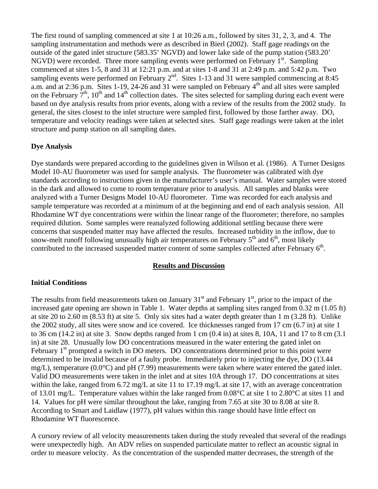The first round of sampling commenced at site 1 at 10:26 a.m., followed by sites 31, 2, 3, and 4. The sampling instrumentation and methods were as described in Bierl (2002). Staff gage readings on the outside of the gated inlet structure (583.35' NGVD) and lower lake side of the pump station (583.20' NGVD) were recorded. Three more sampling events were performed on February  $1<sup>st</sup>$ . Sampling commenced at sites 1-5, 8 and 31 at 12:21 p.m. and at sites 1-8 and 31 at 2:49 p.m. and 5:42 p.m. Two sampling events were performed on February  $2^{nd}$ . Sites 1-13 and 31 were sampled commencing at 8:45 a.m. and at 2:36 p.m. Sites 1-19, 24-26 and 31 were sampled on February  $4<sup>th</sup>$  and all sites were sampled on the February  $7<sup>th</sup>$ , 10<sup>th</sup> and 14<sup>th</sup> collection dates. The sites selected for sampling during each event were based on dye analysis results from prior events, along with a review of the results from the 2002 study. In general, the sites closest to the inlet structure were sampled first, followed by those farther away. DO, temperature and velocity readings were taken at selected sites. Staff gage readings were taken at the inlet structure and pump station on all sampling dates.

## **Dye Analysis**

Dye standards were prepared according to the guidelines given in Wilson et al. (1986). A Turner Designs Model 10-AU fluorometer was used for sample analysis. The fluorometer was calibrated with dye standards according to instructions given in the manufacturer's user's manual. Water samples were stored in the dark and allowed to come to room temperature prior to analysis. All samples and blanks were analyzed with a Turner Designs Model 10-AU fluorometer. Time was recorded for each analysis and sample temperature was recorded at a minimum of at the beginning and end of each analysis session. All Rhodamine WT dye concentrations were within the linear range of the fluorometer; therefore, no samples required dilution. Some samples were reanalyzed following additional settling because there were concerns that suspended matter may have affected the results. Increased turbidity in the inflow, due to snow-melt runoff following unusually high air temperatures on February  $5<sup>th</sup>$  and  $6<sup>th</sup>$ , most likely contributed to the increased suspended matter content of some samples collected after February 6<sup>th</sup>.

#### **Results and Discussion**

#### **Initial Conditions**

The results from field measurements taken on January  $31<sup>st</sup>$  and February  $1<sup>st</sup>$ , prior to the impact of the increased gate opening are shown in Table 1. Water depths at sampling sites ranged from 0.32 m (1.05 ft) at site 20 to 2.60 m (8.53 ft) at site 5. Only six sites had a water depth greater than 1 m (3.28 ft). Unlike the 2002 study, all sites were snow and ice covered. Ice thicknesses ranged from 17 cm (6.7 in) at site 1 to 36 cm (14.2 in) at site 3. Snow depths ranged from 1 cm (0.4 in) at sites 8, 10A, 11 and 17 to 8 cm (3.1 in) at site 28. Unusually low DO concentrations measured in the water entering the gated inlet on February 1<sup>st</sup> prompted a switch in DO meters. DO concentrations determined prior to this point were determined to be invalid because of a faulty probe. Immediately prior to injecting the dye, DO (13.44 mg/L), temperature  $(0.0^{\circ}C)$  and pH (7.99) measurements were taken where water entered the gated inlet. Valid DO measurements were taken in the inlet and at sites 10A through 17. DO concentrations at sites within the lake, ranged from 6.72 mg/L at site 11 to 17.19 mg/L at site 17, with an average concentration of 13.01 mg/L. Temperature values within the lake ranged from 0.08°C at site 1 to 2.80°C at sites 11 and 14. Values for pH were similar throughout the lake, ranging from 7.65 at site 30 to 8.08 at site 8. According to Smart and Laidlaw (1977), pH values within this range should have little effect on Rhodamine WT fluorescence.

A cursory review of all velocity measurements taken during the study revealed that several of the readings were unexpectedly high. An ADV relies on suspended particulate matter to reflect an acoustic signal in order to measure velocity. As the concentration of the suspended matter decreases, the strength of the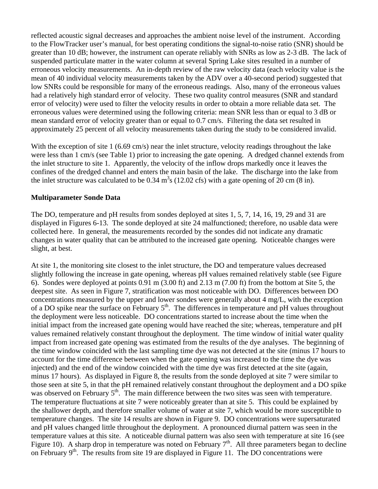reflected acoustic signal decreases and approaches the ambient noise level of the instrument. According to the FlowTracker user's manual, for best operating conditions the signal-to-noise ratio (SNR) should be greater than 10 dB; however, the instrument can operate reliably with SNRs as low as 2-3 dB. The lack of suspended particulate matter in the water column at several Spring Lake sites resulted in a number of erroneous velocity measurements. An in-depth review of the raw velocity data (each velocity value is the mean of 40 individual velocity measurements taken by the ADV over a 40-second period) suggested that low SNRs could be responsible for many of the erroneous readings. Also, many of the erroneous values had a relatively high standard error of velocity. These two quality control measures (SNR and standard error of velocity) were used to filter the velocity results in order to obtain a more reliable data set. The erroneous values were determined using the following criteria: mean SNR less than or equal to 3 dB or mean standard error of velocity greater than or equal to 0.7 cm/s. Filtering the data set resulted in approximately 25 percent of all velocity measurements taken during the study to be considered invalid.

With the exception of site 1 (6.69 cm/s) near the inlet structure, velocity readings throughout the lake were less than 1 cm/s (see Table 1) prior to increasing the gate opening. A dredged channel extends from the inlet structure to site 1. Apparently, the velocity of the inflow drops markedly once it leaves the confines of the dredged channel and enters the main basin of the lake. The discharge into the lake from the inlet structure was calculated to be 0.34  $m<sup>3</sup>s$  (12.02 cfs) with a gate opening of 20 cm (8 in).

#### **Multiparameter Sonde Data**

The DO, temperature and pH results from sondes deployed at sites 1, 5, 7, 14, 16, 19, 29 and 31 are displayed in Figures 6-13. The sonde deployed at site 24 malfunctioned; therefore, no usable data were collected here. In general, the measurements recorded by the sondes did not indicate any dramatic changes in water quality that can be attributed to the increased gate opening. Noticeable changes were slight, at best.

At site 1, the monitoring site closest to the inlet structure, the DO and temperature values decreased slightly following the increase in gate opening, whereas pH values remained relatively stable (see Figure 6). Sondes were deployed at points 0.91 m (3.00 ft) and 2.13 m (7.00 ft) from the bottom at Site 5, the deepest site. As seen in Figure 7, stratification was most noticeable with DO. Differences between DO concentrations measured by the upper and lower sondes were generally about 4 mg/L, with the exception of a DO spike near the surface on February 5<sup>th</sup>. The differences in temperature and pH values throughout the deployment were less noticeable. DO concentrations started to increase about the time when the initial impact from the increased gate opening would have reached the site; whereas, temperature and pH values remained relatively constant throughout the deployment. The time window of initial water quality impact from increased gate opening was estimated from the results of the dye analyses. The beginning of the time window coincided with the last sampling time dye was not detected at the site (minus 17 hours to account for the time difference between when the gate opening was increased to the time the dye was injected) and the end of the window coincided with the time dye was first detected at the site (again, minus 17 hours). As displayed in Figure 8, the results from the sonde deployed at site 7 were similar to those seen at site 5, in that the pH remained relatively constant throughout the deployment and a DO spike was observed on February 5<sup>th</sup>. The main difference between the two sites was seen with temperature. The temperature fluctuations at site 7 were noticeably greater than at site 5. This could be explained by the shallower depth, and therefore smaller volume of water at site 7, which would be more susceptible to temperature changes. The site 14 results are shown in Figure 9. DO concentrations were supersaturated and pH values changed little throughout the deployment. A pronounced diurnal pattern was seen in the temperature values at this site. A noticeable diurnal pattern was also seen with temperature at site 16 (see Figure 10). A sharp drop in temperature was noted on February  $7<sup>th</sup>$ . All three parameters began to decline on February  $9<sup>th</sup>$ . The results from site 19 are displayed in Figure 11. The DO concentrations were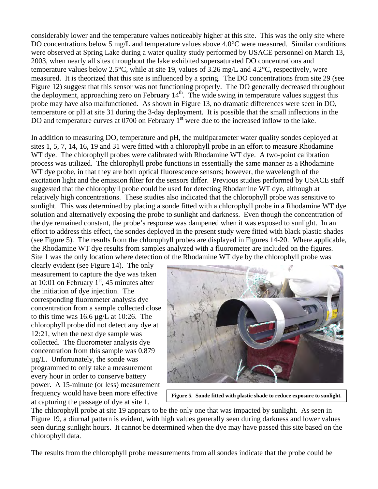considerably lower and the temperature values noticeably higher at this site. This was the only site where DO concentrations below 5 mg/L and temperature values above 4.0°C were measured. Similar conditions were observed at Spring Lake during a water quality study performed by USACE personnel on March 13, 2003, when nearly all sites throughout the lake exhibited supersaturated DO concentrations and temperature values below 2.5°C, while at site 19, values of 3.26 mg/L and 4.2°C, respectively, were measured. It is theorized that this site is influenced by a spring. The DO concentrations from site 29 (see Figure 12) suggest that this sensor was not functioning properly. The DO generally decreased throughout the deployment, approaching zero on February  $14<sup>th</sup>$ . The wide swing in temperature values suggest this probe may have also malfunctioned. As shown in Figure 13, no dramatic differences were seen in DO, temperature or pH at site 31 during the 3-day deployment. It is possible that the small inflections in the DO and temperature curves at 0700 on February 1<sup>st</sup> were due to the increased inflow to the lake.

In addition to measuring DO, temperature and pH, the multiparameter water quality sondes deployed at sites 1, 5, 7, 14, 16, 19 and 31 were fitted with a chlorophyll probe in an effort to measure Rhodamine WT dye. The chlorophyll probes were calibrated with Rhodamine WT dye. A two-point calibration process was utilized. The chlorophyll probe functions in essentially the same manner as a Rhodamine WT dye probe, in that they are both optical fluorescence sensors; however, the wavelength of the excitation light and the emission filter for the sensors differ. Previous studies performed by USACE staff suggested that the chlorophyll probe could be used for detecting Rhodamine WT dye, although at relatively high concentrations. These studies also indicated that the chlorophyll probe was sensitive to sunlight. This was determined by placing a sonde fitted with a chlorophyll probe in a Rhodamine WT dye solution and alternatively exposing the probe to sunlight and darkness. Even though the concentration of the dye remained constant, the probe's response was dampened when it was exposed to sunlight. In an effort to address this effect, the sondes deployed in the present study were fitted with black plastic shades (see Figure 5). The results from the chlorophyll probes are displayed in Figures 14-20. Where applicable, the Rhodamine WT dye results from samples analyzed with a fluorometer are included on the figures. Site 1 was the only location where detection of the Rhodamine WT dye by the chlorophyll probe was

clearly evident (see Figure 14). The only measurement to capture the dye was taken at 10:01 on February  $1<sup>st</sup>$ , 45 minutes after the initiation of dye injection. The corresponding fluorometer analysis dye concentration from a sample collected close to this time was 16.6 µg/L at 10:26. The chlorophyll probe did not detect any dye at 12:21, when the next dye sample was collected. The fluorometer analysis dye concentration from this sample was 0.879 µg/L. Unfortunately, the sonde was programmed to only take a measurement every hour in order to conserve battery power. A 15-minute (or less) measurement frequency would have been more effective at capturing the passage of dye at site 1.



**Figure 5. Sonde fitted with plastic shade to reduce exposure to sunlight.** 

The chlorophyll probe at site 19 appears to be the only one that was impacted by sunlight. As seen in Figure 19, a diurnal pattern is evident, with high values generally seen during darkness and lower values seen during sunlight hours. It cannot be determined when the dye may have passed this site based on the chlorophyll data.

The results from the chlorophyll probe measurements from all sondes indicate that the probe could be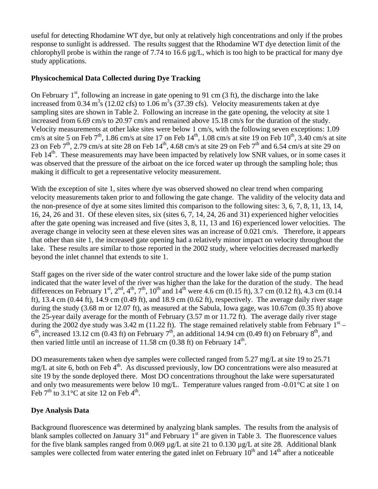useful for detecting Rhodamine WT dye, but only at relatively high concentrations and only if the probes response to sunlight is addressed. The results suggest that the Rhodamine WT dye detection limit of the chlorophyll probe is within the range of 7.74 to 16.6  $\mu$ g/L, which is too high to be practical for many dye study applications.

## **Physicochemical Data Collected during Dye Tracking**

On February  $1<sup>st</sup>$ , following an increase in gate opening to 91 cm (3 ft), the discharge into the lake increased from 0.34 m<sup>3</sup>s (12.02 cfs) to 1.06 m<sup>3</sup>s (37.39 cfs). Velocity measurements taken at dye sampling sites are shown in Table 2. Following an increase in the gate opening, the velocity at site 1 increased from 6.69 cm/s to 20.97 cm/s and remained above 15.18 cm/s for the duration of the study. Velocity measurements at other lake sites were below 1 cm/s, with the following seven exceptions: 1.09 cm/s at site 5 on Feb  $7<sup>th</sup>$ , 1.86 cm/s at site 17 on Feb  $14<sup>th</sup>$ , 1.08 cm/s at site 19 on Feb  $10<sup>th</sup>$ , 3.40 cm/s at site 23 on Feb  $7<sup>th</sup>$ , 2.79 cm/s at site 28 on Feb  $14<sup>th</sup>$ , 4.68 cm/s at site 29 on Feb  $7<sup>th</sup>$  and 6.54 cm/s at site 29 on Feb 14<sup>th</sup>. These measurements may have been impacted by relatively low SNR values, or in some cases it was observed that the pressure of the airboat on the ice forced water up through the sampling hole; thus making it difficult to get a representative velocity measurement.

With the exception of site 1, sites where dye was observed showed no clear trend when comparing velocity measurements taken prior to and following the gate change. The validity of the velocity data and the non-presence of dye at some sites limited this comparison to the following sites: 3, 6, 7, 8, 11, 13, 14, 16, 24, 26 and 31. Of these eleven sites, six (sites 6, 7, 14, 24, 26 and 31) experienced higher velocities after the gate opening was increased and five (sites 3, 8, 11, 13 and 16) experienced lower velocities. The average change in velocity seen at these eleven sites was an increase of 0.021 cm/s. Therefore, it appears that other than site 1, the increased gate opening had a relatively minor impact on velocity throughout the lake. These results are similar to those reported in the 2002 study, where velocities decreased markedly beyond the inlet channel that extends to site 1.

Staff gages on the river side of the water control structure and the lower lake side of the pump station indicated that the water level of the river was higher than the lake for the duration of the study. The head differences on February 1<sup>st</sup>, 2<sup>nd</sup>, 4<sup>th</sup>, 7<sup>th</sup>, 10<sup>th</sup> and 14<sup>th</sup> were 4.6 cm (0.15 ft), 3.7 cm (0.12 ft), 4.3 cm (0.14 ft), 13.4 cm (0.44 ft), 14.9 cm (0.49 ft), and 18.9 cm (0.62 ft), respectively. The average daily river stage during the study (3.68 m or 12.07 ft), as measured at the Sabula, Iowa gage, was 10.67cm (0.35 ft) above the 25-year daily average for the month of February (3.57 m or 11.72 ft). The average daily river stage during the 2002 dye study was 3.42 m (11.22 ft). The stage remained relatively stable from February  $1<sup>st</sup>$  –  $6<sup>th</sup>$ , increased 13.12 cm (0.43 ft) on February 7<sup>th</sup>, an additional 14.94 cm (0.49 ft) on February 8<sup>th</sup>, and then varied little until an increase of 11.58 cm  $(0.38 \text{ ft})$  on February 14<sup>th</sup>.

DO measurements taken when dye samples were collected ranged from 5.27 mg/L at site 19 to 25.71 mg/L at site 6, both on Feb  $4<sup>th</sup>$ . As discussed previously, low DO concentrations were also measured at site 19 by the sonde deployed there. Most DO concentrations throughout the lake were supersaturated and only two measurements were below 10 mg/L. Temperature values ranged from -0.01°C at site 1 on Feb  $7<sup>th</sup>$  to 3.1°C at site 12 on Feb  $4<sup>th</sup>$ .

## **Dye Analysis Data**

Background fluorescence was determined by analyzing blank samples. The results from the analysis of blank samples collected on January  $31<sup>st</sup>$  and February  $1<sup>st</sup>$  are given in Table 3. The fluorescence values for the five blank samples ranged from 0.069 µg/L at site 21 to 0.130 µg/L at site 28. Additional blank samples were collected from water entering the gated inlet on February  $10<sup>th</sup>$  and  $14<sup>th</sup>$  after a noticeable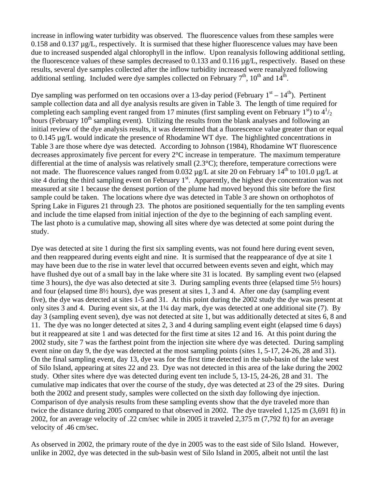increase in inflowing water turbidity was observed. The fluorescence values from these samples were 0.158 and 0.137 µg/L, respectively. It is surmised that these higher fluorescence values may have been due to increased suspended algal chlorophyll in the inflow. Upon reanalysis following additional settling, the fluorescence values of these samples decreased to 0.133 and 0.116 µg/L, respectively. Based on these results, several dye samples collected after the inflow turbidity increased were reanalyzed following additional settling. Included were dye samples collected on February  $7<sup>th</sup>$ ,  $10<sup>th</sup>$  and  $14<sup>th</sup>$ .

Dye sampling was performed on ten occasions over a 13-day period (February  $1<sup>st</sup> - 14<sup>th</sup>$ ). Pertinent sample collection data and all dye analysis results are given in Table 3. The length of time required for completing each sampling event ranged from 17 minutes (first sampling event on February 1<sup>st</sup>) to  $4^{1/2}$ hours (February  $10^{th}$  sampling event). Utilizing the results from the blank analyses and following an initial review of the dye analysis results, it was determined that a fluorescence value greater than or equal to 0.145 µg/L would indicate the presence of Rhodamine WT dye. The highlighted concentrations in Table 3 are those where dye was detected. According to Johnson (1984), Rhodamine WT fluorescence decreases approximately five percent for every 2°C increase in temperature. The maximum temperature differential at the time of analysis was relatively small (2.3°C); therefore, temperature corrections were not made. The fluorescence values ranged from 0.032  $\mu$ g/L at site 20 on February 14<sup>th</sup> to 101.0  $\mu$ g/L at site 4 during the third sampling event on February  $1<sup>st</sup>$ . Apparently, the highest dye concentration was not measured at site 1 because the densest portion of the plume had moved beyond this site before the first sample could be taken. The locations where dye was detected in Table 3 are shown on orthophotos of Spring Lake in Figures 21 through 23. The photos are positioned sequentially for the ten sampling events and include the time elapsed from initial injection of the dye to the beginning of each sampling event. The last photo is a cumulative map, showing all sites where dye was detected at some point during the study.

Dye was detected at site 1 during the first six sampling events, was not found here during event seven, and then reappeared during events eight and nine. It is surmised that the reappearance of dye at site 1 may have been due to the rise in water level that occurred between events seven and eight, which may have flushed dye out of a small bay in the lake where site 31 is located. By sampling event two (elapsed time 3 hours), the dye was also detected at site 3. During sampling events three (elapsed time 5½ hours) and four (elapsed time 8½ hours), dye was present at sites 1, 3 and 4. After one day (sampling event five), the dye was detected at sites 1-5 and 31. At this point during the 2002 study the dye was present at only sites 3 and 4. During event six, at the 1¼ day mark, dye was detected at one additional site (7). By day 3 (sampling event seven), dye was not detected at site 1, but was additionally detected at sites 6, 8 and 11. The dye was no longer detected at sites 2, 3 and 4 during sampling event eight (elapsed time 6 days) but it reappeared at site 1 and was detected for the first time at sites 12 and 16. At this point during the 2002 study, site 7 was the farthest point from the injection site where dye was detected. During sampling event nine on day 9, the dye was detected at the most sampling points (sites 1, 5-17, 24-26, 28 and 31). On the final sampling event, day 13, dye was for the first time detected in the sub-basin of the lake west of Silo Island, appearing at sites 22 and 23. Dye was not detected in this area of the lake during the 2002 study. Other sites where dye was detected during event ten include 5, 13-15, 24-26, 28 and 31. The cumulative map indicates that over the course of the study, dye was detected at 23 of the 29 sites. During both the 2002 and present study, samples were collected on the sixth day following dye injection. Comparison of dye analysis results from these sampling events show that the dye traveled more than twice the distance during 2005 compared to that observed in 2002. The dye traveled 1,125 m (3,691 ft) in 2002, for an average velocity of .22 cm/sec while in 2005 it traveled 2,375 m (7,792 ft) for an average velocity of .46 cm/sec.

As observed in 2002, the primary route of the dye in 2005 was to the east side of Silo Island. However, unlike in 2002, dye was detected in the sub-basin west of Silo Island in 2005, albeit not until the last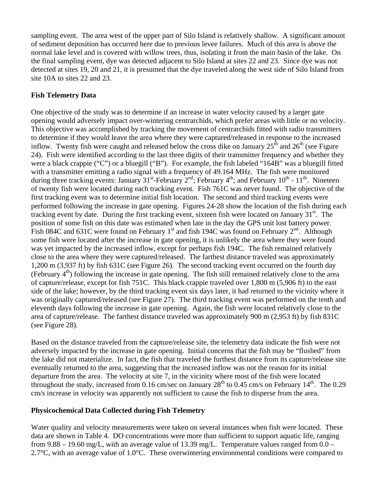sampling event. The area west of the upper part of Silo Island is relatively shallow. A significant amount of sediment deposition has occurred here due to previous levee failures. Much of this area is above the normal lake level and is covered with willow trees, thus, isolating it from the main basin of the lake. On the final sampling event, dye was detected adjacent to Silo Island at sites 22 and 23. Since dye was not detected at sites 19, 20 and 21, it is presumed that the dye traveled along the west side of Silo Island from site 10A to sites 22 and 23.

### **Fish Telemetry Data**

One objective of the study was to determine if an increase in water velocity caused by a larger gate opening would adversely impact over-wintering centrarchids, which prefer areas with little or no velocity. This objective was accomplished by tracking the movement of centrarchids fitted with radio transmitters to determine if they would leave the area where they were captured/released in response to the increased inflow. Twenty fish were caught and released below the cross dike on January  $25<sup>th</sup>$  and  $26<sup>th</sup>$  (see Figure 24). Fish were identified according to the last three digits of their transmitter frequency and whether they were a black crappie ("C") or a bluegill ("B"). For example, the fish labeled "164B" was a bluegill fitted with a transmitter emitting a radio signal with a frequency of 49.164 MHz. The fish were monitored during three tracking events: January  $31^{st}$ -February  $2^{nd}$ ; February  $4^{th}$ ; and February  $10^{th}$  -  $11^{th}$ . Nineteen of twenty fish were located during each tracking event. Fish 761C was never found. The objective of the first tracking event was to determine initial fish location. The second and third tracking events were performed following the increase in gate opening. Figures 24-28 show the location of the fish during each tracking event by date. During the first tracking event, sixteen fish were located on January  $31<sup>st</sup>$ . The position of some fish on this date was estimated when late in the day the GPS unit lost battery power. Fish 084C and 631C were found on February 1<sup>st</sup> and fish 194C was found on February  $2^{nd}$ . Although some fish were located after the increase in gate opening, it is unlikely the area where they were found was yet impacted by the increased inflow, except for perhaps fish 194C. The fish remained relatively close to the area where they were captured/released. The farthest distance traveled was approximately 1,200 m (3,937 ft) by fish 631C (see Figure 26). The second tracking event occurred on the fourth day (February  $4<sup>th</sup>$ ) following the increase in gate opening. The fish still remained relatively close to the area of capture/release, except for fish 751C. This black crappie traveled over 1,800 m (5,906 ft) to the east side of the lake; however, by the third tracking event six days later, it had returned to the vicinity where it was originally captured/released (see Figure 27). The third tracking event was performed on the tenth and eleventh days following the increase in gate opening. Again, the fish were located relatively close to the area of capture/release. The farthest distance traveled was approximately 900 m (2,953 ft) by fish 831C (see Figure 28).

Based on the distance traveled from the capture/release site, the telemetry data indicate the fish were not adversely impacted by the increase in gate opening. Initial concerns that the fish may be "flushed" from the lake did not materialize. In fact, the fish that traveled the furthest distance from its capture/release site eventually returned to the area, suggesting that the increased inflow was not the reason for its initial departure from the area. The velocity at site 7, in the vicinity where most of the fish were located throughout the study, increased from 0.16 cm/sec on January  $28<sup>th</sup>$  to 0.45 cm/s on February  $14<sup>th</sup>$ . The 0.29 cm/s increase in velocity was apparently not sufficient to cause the fish to disperse from the area.

#### **Physicochemical Data Collected during Fish Telemetry**

Water quality and velocity measurements were taken on several instances when fish were located. These data are shown in Table 4. DO concentrations were more than sufficient to support aquatic life, ranging from 9.88 – 19.60 mg/L, with an average value of 13.39 mg/L. Temperature values ranged from  $0.0$  – 2.7°C, with an average value of 1.0°C. These overwintering environmental conditions were compared to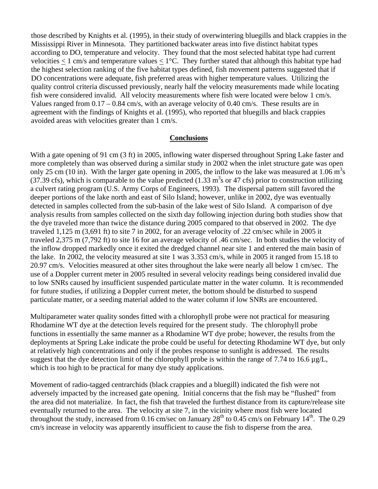those described by Knights et al. (1995), in their study of overwintering bluegills and black crappies in the Mississippi River in Minnesota. They partitioned backwater areas into five distinct habitat types according to DO, temperature and velocity. They found that the most selected habitat type had current velocities  $<$  1 cm/s and temperature values  $<$  1°C. They further stated that although this habitat type had the highest selection ranking of the five habitat types defined, fish movement patterns suggested that if DO concentrations were adequate, fish preferred areas with higher temperature values. Utilizing the quality control criteria discussed previously, nearly half the velocity measurements made while locating fish were considered invalid. All velocity measurements where fish were located were below 1 cm/s. Values ranged from  $0.17 - 0.84$  cm/s, with an average velocity of 0.40 cm/s. These results are in agreement with the findings of Knights et al. (1995), who reported that bluegills and black crappies avoided areas with velocities greater than 1 cm/s.

#### **Conclusions**

With a gate opening of 91 cm (3 ft) in 2005, inflowing water dispersed throughout Spring Lake faster and more completely than was observed during a similar study in 2002 when the inlet structure gate was open only 25 cm (10 in). With the larger gate opening in 2005, the inflow to the lake was measured at 1.06  $\text{m}^3\text{s}$ (37.39 cfs), which is comparable to the value predicted (1.33  $m<sup>3</sup>s$  or 47 cfs) prior to construction utilizing a culvert rating program (U.S. Army Corps of Engineers, 1993). The dispersal pattern still favored the deeper portions of the lake north and east of Silo Island; however, unlike in 2002, dye was eventually detected in samples collected from the sub-basin of the lake west of Silo Island. A comparison of dye analysis results from samples collected on the sixth day following injection during both studies show that the dye traveled more than twice the distance during 2005 compared to that observed in 2002. The dye traveled 1,125 m (3,691 ft) to site 7 in 2002, for an average velocity of .22 cm/sec while in 2005 it traveled 2,375 m (7,792 ft) to site 16 for an average velocity of .46 cm/sec. In both studies the velocity of the inflow dropped markedly once it exited the dredged channel near site 1 and entered the main basin of the lake. In 2002, the velocity measured at site 1 was 3.353 cm/s, while in 2005 it ranged from 15.18 to 20.97 cm/s. Velocities measured at other sites throughout the lake were nearly all below 1 cm/sec. The use of a Doppler current meter in 2005 resulted in several velocity readings being considered invalid due to low SNRs caused by insufficient suspended particulate matter in the water column. It is recommended for future studies, if utilizing a Doppler current meter, the bottom should be disturbed to suspend particulate matter, or a seeding material added to the water column if low SNRs are encountered.

Multiparameter water quality sondes fitted with a chlorophyll probe were not practical for measuring Rhodamine WT dye at the detection levels required for the present study. The chlorophyll probe functions in essentially the same manner as a Rhodamine WT dye probe; however, the results from the deployments at Spring Lake indicate the probe could be useful for detecting Rhodamine WT dye, but only at relatively high concentrations and only if the probes response to sunlight is addressed. The results suggest that the dye detection limit of the chlorophyll probe is within the range of 7.74 to 16.6  $\mu$ g/L, which is too high to be practical for many dye study applications.

Movement of radio-tagged centrarchids (black crappies and a bluegill) indicated the fish were not adversely impacted by the increased gate opening. Initial concerns that the fish may be "flushed" from the area did not materialize. In fact, the fish that traveled the furthest distance from its capture/release site eventually returned to the area. The velocity at site 7, in the vicinity where most fish were located throughout the study, increased from 0.16 cm/sec on January  $28<sup>th</sup>$  to 0.45 cm/s on February  $14<sup>th</sup>$ . The 0.29 cm/s increase in velocity was apparently insufficient to cause the fish to disperse from the area.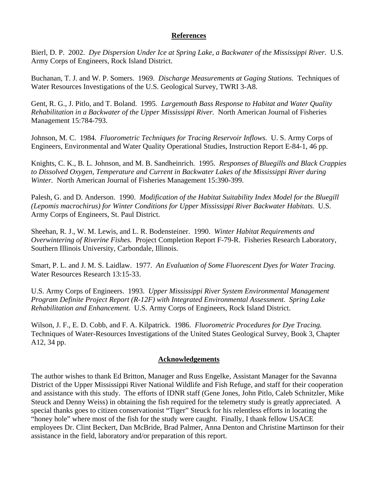#### **References**

Bierl, D. P. 2002. *Dye Dispersion Under Ice at Spring Lake, a Backwater of the Mississippi River.* U.S. Army Corps of Engineers, Rock Island District.

Buchanan, T. J. and W. P. Somers. 1969. *Discharge Measurements at Gaging Stations.* Techniques of Water Resources Investigations of the U.S. Geological Survey, TWRI 3-A8.

Gent, R. G., J. Pitlo, and T. Boland. 1995. *Largemouth Bass Response to Habitat and Water Quality Rehabilitation in a Backwater of the Upper Mississippi River.* North American Journal of Fisheries Management 15:784-793.

Johnson, M. C. 1984. *Fluorometric Techniques for Tracing Reservoir Inflows.* U. S. Army Corps of Engineers, Environmental and Water Quality Operational Studies, Instruction Report E-84-1, 46 pp.

Knights, C. K., B. L. Johnson, and M. B. Sandheinrich. 1995. *Responses of Bluegills and Black Crappies to Dissolved Oxygen, Temperature and Current in Backwater Lakes of the Mississippi River during Winter.* North American Journal of Fisheries Management 15:390-399.

Palesh, G. and D. Anderson. 1990. *Modification of the Habitat Suitability Index Model for the Bluegill (Lepomis macrochirus) for Winter Conditions for Upper Mississippi River Backwater Habitats.* U.S. Army Corps of Engineers, St. Paul District.

Sheehan, R. J., W. M. Lewis, and L. R. Bodensteiner. 1990. *Winter Habitat Requirements and Overwintering of Riverine Fishes.* Project Completion Report F-79-R. Fisheries Research Laboratory, Southern Illinois University, Carbondale, Illinois.

Smart, P. L. and J. M. S. Laidlaw. 1977. *An Evaluation of Some Fluorescent Dyes for Water Tracing.* Water Resources Research 13:15-33.

U.S. Army Corps of Engineers. 1993. *Upper Mississippi River System Environmental Management Program Definite Project Report (R-12F) with Integrated Environmental Assessment. Spring Lake Rehabilitation and Enhancement.* U.S. Army Corps of Engineers, Rock Island District.

Wilson, J. F., E. D. Cobb, and F. A. Kilpatrick. 1986. *Fluorometric Procedures for Dye Tracing.* Techniques of Water-Resources Investigations of the United States Geological Survey, Book 3, Chapter A12, 34 pp.

## **Acknowledgements**

The author wishes to thank Ed Britton, Manager and Russ Engelke, Assistant Manager for the Savanna District of the Upper Mississippi River National Wildlife and Fish Refuge, and staff for their cooperation and assistance with this study. The efforts of IDNR staff (Gene Jones, John Pitlo, Caleb Schnitzler, Mike Steuck and Denny Weiss) in obtaining the fish required for the telemetry study is greatly appreciated. A special thanks goes to citizen conservationist "Tiger" Steuck for his relentless efforts in locating the "honey hole" where most of the fish for the study were caught. Finally, I thank fellow USACE employees Dr. Clint Beckert, Dan McBride, Brad Palmer, Anna Denton and Christine Martinson for their assistance in the field, laboratory and/or preparation of this report.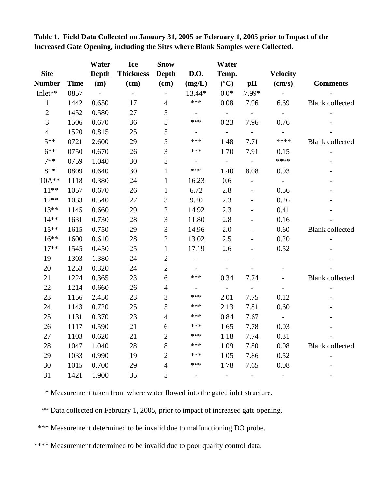|                |             | Water          | <b>Ice</b>       | <b>Snow</b>              |                          | Water                    |                             |                           |                        |
|----------------|-------------|----------------|------------------|--------------------------|--------------------------|--------------------------|-----------------------------|---------------------------|------------------------|
| <b>Site</b>    |             | Depth          | <b>Thickness</b> | Depth                    | <b>D.O.</b>              | Temp.                    |                             | <b>Velocity</b>           |                        |
| <b>Number</b>  | <b>Time</b> | (m)            | $(cm)$           | $(cm)$                   | (mg/L)                   | $\frac{({}^{\circ}C)}{}$ | pH                          | $\frac{\text{(cm/s)}}{2}$ | <b>Comments</b>        |
| Inlet**        | 0857        | $\sim 10^{-1}$ | $\equiv$         | $\overline{\phantom{a}}$ | 13.44*                   | $0.0*$                   | 7.99*                       | $\sim$                    |                        |
| $\mathbf{1}$   | 1442        | 0.650          | 17               | $\overline{4}$           | ***                      | 0.08                     | 7.96                        | 6.69                      | <b>Blank</b> collected |
| $\mathbf{2}$   | 1452        | 0.580          | 27               | 3                        | $\equiv$                 | $\sim$                   | $\equiv$                    |                           |                        |
| $\overline{3}$ | 1506        | 0.670          | 36               | 5                        | ***                      | 0.23                     | 7.96                        | 0.76                      |                        |
| $\overline{4}$ | 1520        | 0.815          | 25               | 5                        | $\equiv$                 | $\sim 10$                | $\sim$                      | $\omega_{\rm c}$          |                        |
| $5**$          | 0721        | 2.600          | 29               | 5                        | ***                      | 1.48                     | 7.71                        | ****                      | <b>Blank</b> collected |
| $6***$         | 0750        | 0.670          | 26               | 3                        | ***                      | 1.70                     | 7.91                        | 0.15                      | $\blacksquare$         |
| $7**$          | 0759        | 1.040          | 30               | 3                        | $\blacksquare$           | $\sim$ $-$               | $\mathbb{Z}^{\mathbb{Z}^2}$ | $****$                    |                        |
| $8**$          | 0809        | 0.640          | 30               | $\mathbf{1}$             | ***                      | 1.40                     | 8.08                        | 0.93                      |                        |
| 10A**          | 1118        | 0.380          | 24               | $\mathbf{1}$             | 16.23                    | 0.6                      | $\overline{\phantom{a}}$    |                           |                        |
| $11***$        | 1057        | 0.670          | 26               | $\mathbf{1}$             | 6.72                     | $2.8\,$                  | $\overline{\phantom{a}}$    | 0.56                      |                        |
| $12**$         | 1033        | 0.540          | 27               | $\mathfrak{Z}$           | 9.20                     | 2.3                      | $\overline{a}$              | 0.26                      |                        |
| $13***$        | 1145        | 0.660          | 29               | $\overline{c}$           | 14.92                    | 2.3                      |                             | 0.41                      |                        |
| $14**$         | 1631        | 0.730          | 28               | $\mathfrak{Z}$           | 11.80                    | 2.8                      |                             | 0.16                      |                        |
| $15***$        | 1615        | 0.750          | 29               | 3                        | 14.96                    | 2.0                      |                             | 0.60                      | <b>Blank</b> collected |
| $16***$        | 1600        | 0.610          | $28\,$           | $\sqrt{2}$               | 13.02                    | 2.5                      | $\overline{\phantom{m}}$    | 0.20                      |                        |
| $17**$         | 1545        | 0.450          | 25               | $\mathbf{1}$             | 17.19                    | 2.6                      |                             | 0.52                      |                        |
| 19             | 1303        | 1.380          | 24               | $\overline{c}$           | $\overline{\phantom{a}}$ | $\overline{\phantom{a}}$ |                             |                           |                        |
| 20             | 1253        | 0.320          | 24               | $\overline{2}$           | $\overline{\phantom{a}}$ | $\overline{\phantom{a}}$ |                             |                           |                        |
| 21             | 1224        | 0.365          | 23               | 6                        | ***                      | 0.34                     | 7.74                        |                           | <b>Blank</b> collected |
| 22             | 1214        | 0.660          | 26               | $\overline{4}$           | $\blacksquare$           | $\sim$                   | $\blacksquare$              |                           |                        |
| 23             | 1156        | 2.450          | 23               | 3                        | ***                      | 2.01                     | 7.75                        | 0.12                      |                        |
| 24             | 1143        | 0.720          | 25               | 5                        | ***                      | 2.13                     | 7.81                        | 0.60                      |                        |
| 25             | 1131        | 0.370          | 23               | $\overline{4}$           | ***                      | 0.84                     | 7.67                        |                           |                        |
| 26             | 1117        | 0.590          | 21               | $\boldsymbol{6}$         | ***                      | 1.65                     | 7.78                        | 0.03                      |                        |
| 27             | 1103        | 0.620          | 21               | $\overline{2}$           | ***                      | 1.18                     | 7.74                        | 0.31                      |                        |
| 28             | 1047        | 1.040          | 28               | $8\,$                    | ***                      | 1.09                     | 7.80                        | 0.08                      | <b>Blank</b> collected |
| 29             | 1033        | 0.990          | 19               | $\overline{2}$           | ***                      | 1.05                     | 7.86                        | 0.52                      |                        |
| 30             | 1015        | 0.700          | 29               | $\overline{4}$           | ***                      | 1.78                     | 7.65                        | $0.08\,$                  |                        |
| 31             | 1421        | 1.900          | 35               | 3                        |                          |                          |                             |                           |                        |

**Table 1. Field Data Collected on January 31, 2005 or February 1, 2005 prior to Impact of the Increased Gate Opening, including the Sites where Blank Samples were Collected.** 

\* Measurement taken from where water flowed into the gated inlet structure.

\*\* Data collected on February 1, 2005, prior to impact of increased gate opening.

\*\*\* Measurement determined to be invalid due to malfunctioning DO probe.

\*\*\*\* Measurement determined to be invalid due to poor quality control data.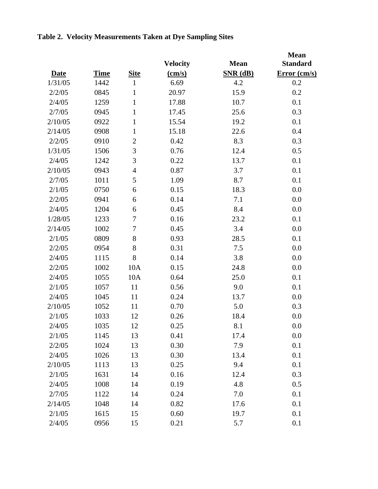|             |             |                |                           |             | <b>Mean</b>     |
|-------------|-------------|----------------|---------------------------|-------------|-----------------|
|             |             |                | <b>Velocity</b>           | <b>Mean</b> | <b>Standard</b> |
| <b>Date</b> | <b>Time</b> | <b>Site</b>    | $\frac{\text{(cm/s)}}{s}$ | $SNR$ (dB)  | Error (cm/s)    |
| 1/31/05     | 1442        | $\mathbf{1}$   | 6.69                      | 4.2         | 0.2             |
| 2/2/05      | 0845        | 1              | 20.97                     | 15.9        | 0.2             |
| 2/4/05      | 1259        | $\mathbf{1}$   | 17.88                     | 10.7        | 0.1             |
| 2/7/05      | 0945        | $\mathbf{1}$   | 17.45                     | 25.6        | 0.3             |
| 2/10/05     | 0922        | $\mathbf{1}$   | 15.54                     | 19.2        | 0.1             |
| 2/14/05     | 0908        | $\mathbf{1}$   | 15.18                     | 22.6        | 0.4             |
| 2/2/05      | 0910        | $\mathbf{2}$   | 0.42                      | 8.3         | 0.3             |
| 1/31/05     | 1506        | 3              | 0.76                      | 12.4        | 0.5             |
| 2/4/05      | 1242        | 3              | 0.22                      | 13.7        | 0.1             |
| 2/10/05     | 0943        | $\overline{4}$ | 0.87                      | 3.7         | 0.1             |
| 2/7/05      | 1011        | 5              | 1.09                      | 8.7         | 0.1             |
| 2/1/05      | 0750        | 6              | 0.15                      | 18.3        | 0.0             |
| 2/2/05      | 0941        | 6              | 0.14                      | 7.1         | 0.0             |
| 2/4/05      | 1204        | 6              | 0.45                      | 8.4         | 0.0             |
| 1/28/05     | 1233        | 7              | 0.16                      | 23.2        | 0.1             |
| 2/14/05     | 1002        | 7              | 0.45                      | 3.4         | 0.0             |
| 2/1/05      | 0809        | 8              | 0.93                      | 28.5        | 0.1             |
| 2/2/05      | 0954        | 8              | 0.31                      | 7.5         | 0.0             |
| 2/4/05      | 1115        | 8              | 0.14                      | 3.8         | 0.0             |
| 2/2/05      | 1002        | 10A            | 0.15                      | 24.8        | 0.0             |
| 2/4/05      | 1055        | 10A            | 0.64                      | 25.0        | 0.1             |
| 2/1/05      | 1057        | 11             | 0.56                      | 9.0         | 0.1             |
| 2/4/05      | 1045        | 11             | 0.24                      | 13.7        | 0.0             |
| 2/10/05     | 1052        | 11             | 0.70                      | 5.0         | 0.3             |
| 2/1/05      | 1033        | 12             | 0.26                      | 18.4        | 0.0             |
| 2/4/05      | 1035        | 12             | 0.25                      | 8.1         | 0.0             |
| 2/1/05      | 1145        | 13             | 0.41                      | 17.4        | 0.0             |
| 2/2/05      | 1024        | 13             | 0.30                      | 7.9         | 0.1             |
| 2/4/05      | 1026        | 13             | 0.30                      | 13.4        | 0.1             |
| 2/10/05     | 1113        | 13             | 0.25                      | 9.4         | 0.1             |
| 2/1/05      | 1631        | 14             | 0.16                      | 12.4        | 0.3             |
| 2/4/05      | 1008        | 14             | 0.19                      | 4.8         | 0.5             |
| 2/7/05      | 1122        | 14             | 0.24                      | 7.0         | 0.1             |
| 2/14/05     | 1048        | 14             | 0.82                      | 17.6        | 0.1             |
| 2/1/05      | 1615        | 15             | 0.60                      | 19.7        | 0.1             |
| 2/4/05      | 0956        | 15             | 0.21                      | 5.7         | 0.1             |

## **Table 2. Velocity Measurements Taken at Dye Sampling Sites**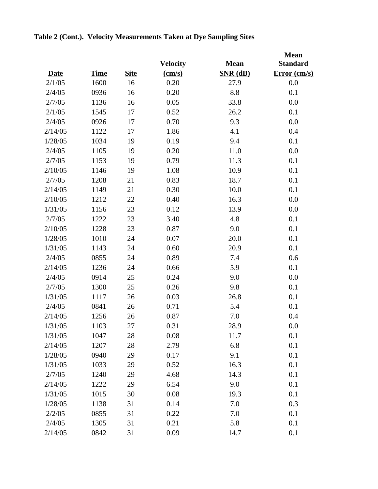|             |             |             | <b>Velocity</b> | <b>Mean</b> | <b>Mean</b><br><b>Standard</b> |
|-------------|-------------|-------------|-----------------|-------------|--------------------------------|
| <b>Date</b> | <b>Time</b> | <b>Site</b> | (cm/s)          | $SNR$ (dB)  | Error (cm/s)                   |
| 2/1/05      | 1600        | 16          | 0.20            | 27.9        | 0.0                            |
| 2/4/05      | 0936        | 16          | 0.20            | 8.8         | 0.1                            |
| 2/7/05      | 1136        | 16          | 0.05            | 33.8        | 0.0                            |
| 2/1/05      | 1545        | 17          | 0.52            | 26.2        | 0.1                            |
| 2/4/05      | 0926        | 17          | 0.70            | 9.3         | 0.0                            |
| 2/14/05     | 1122        | 17          | 1.86            | 4.1         | 0.4                            |
| 1/28/05     | 1034        | 19          | 0.19            | 9.4         | 0.1                            |
| 2/4/05      | 1105        | 19          | 0.20            | 11.0        | 0.0                            |
| 2/7/05      | 1153        | 19          | 0.79            | 11.3        | 0.1                            |
| 2/10/05     | 1146        | 19          | 1.08            | 10.9        | 0.1                            |
| 2/7/05      | 1208        | 21          | 0.83            | 18.7        | 0.1                            |
| 2/14/05     | 1149        | 21          | 0.30            | 10.0        | 0.1                            |
| 2/10/05     | 1212        | 22          | 0.40            | 16.3        | 0.0                            |
| 1/31/05     | 1156        | 23          | 0.12            | 13.9        | 0.0                            |
| 2/7/05      | 1222        | 23          | 3.40            | 4.8         | 0.1                            |
| 2/10/05     | 1228        | 23          | 0.87            | 9.0         | 0.1                            |
| 1/28/05     | 1010        | 24          | 0.07            | 20.0        | 0.1                            |
| 1/31/05     | 1143        | 24          | 0.60            | 20.9        | 0.1                            |
| 2/4/05      | 0855        | 24          | 0.89            | 7.4         | 0.6                            |
| 2/14/05     | 1236        | 24          | 0.66            | 5.9         | 0.1                            |
| 2/4/05      | 0914        | 25          | 0.24            | 9.0         | 0.0                            |
| 2/7/05      | 1300        | 25          | 0.26            | 9.8         | 0.1                            |
| 1/31/05     | 1117        | 26          | 0.03            | 26.8        | 0.1                            |
| 2/4/05      | 0841        | 26          | 0.71            | 5.4         | 0.1                            |
| 2/14/05     | 1256        | 26          | 0.87            | 7.0         | 0.4                            |
| 1/31/05     | 1103        | 27          | 0.31            | 28.9        | 0.0                            |
| 1/31/05     | 1047        | 28          | 0.08            | 11.7        | 0.1                            |
| 2/14/05     | 1207        | 28          | 2.79            | 6.8         | 0.1                            |
| 1/28/05     | 0940        | 29          | 0.17            | 9.1         | 0.1                            |
| 1/31/05     | 1033        | 29          | 0.52            | 16.3        | 0.1                            |
| 2/7/05      | 1240        | 29          | 4.68            | 14.3        | 0.1                            |
| 2/14/05     | 1222        | 29          | 6.54            | 9.0         | 0.1                            |
| 1/31/05     | 1015        | 30          | 0.08            | 19.3        | 0.1                            |
| 1/28/05     | 1138        | 31          | 0.14            | 7.0         | 0.3                            |
| 2/2/05      | 0855        | 31          | 0.22            | 7.0         | 0.1                            |
| 2/4/05      | 1305        | 31          | 0.21            | 5.8         | 0.1                            |
| 2/14/05     | 0842        | 31          | 0.09            | 14.7        | 0.1                            |

## **Table 2 (Cont.). Velocity Measurements Taken at Dye Sampling Sites**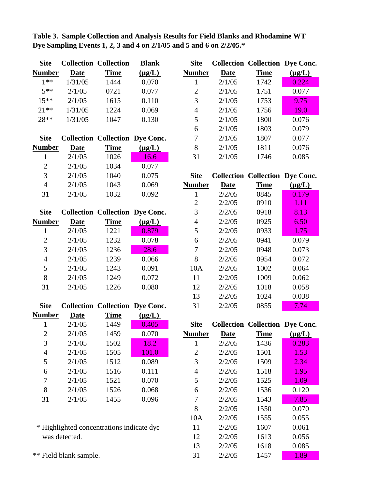| Table 3. Sample Collection and Analysis Results for Field Blanks and Rhodamine WT |  |  |
|-----------------------------------------------------------------------------------|--|--|
| Dye Sampling Events 1, 2, 3 and 4 on $2/1/05$ and 5 and 6 on $2/2/05$ .*          |  |  |

| <b>Site</b>    |             | <b>Collection Collection</b>           | <b>Blank</b> | <b>Site</b>    |             | <b>Collection Collection Dye Conc.</b> |             |
|----------------|-------------|----------------------------------------|--------------|----------------|-------------|----------------------------------------|-------------|
| <b>Number</b>  | Date        | <b>Time</b>                            | $(\mu g/L)$  | <b>Number</b>  | <b>Date</b> | <b>Time</b>                            | $(\mu g/L)$ |
| $1**$          | 1/31/05     | 1444                                   | 0.070        | 1              | 2/1/05      | 1742                                   | 0.224       |
| $5**$          | 2/1/05      | 0721                                   | 0.077        | $\overline{2}$ | 2/1/05      | 1751                                   | 0.077       |
| $15***$        | 2/1/05      | 1615                                   | 0.110        | 3              | 2/1/05      | 1753                                   | 9.75        |
| $21***$        | 1/31/05     | 1224                                   | 0.069        | $\overline{4}$ | 2/1/05      | 1756                                   | 19.0        |
| 28**           | 1/31/05     | 1047                                   | 0.130        | 5              | 2/1/05      | 1800                                   | 0.076       |
|                |             |                                        |              | 6              | 2/1/05      | 1803                                   | 0.079       |
| <b>Site</b>    |             | <b>Collection Collection Dye Conc.</b> |              | 7              | 2/1/05      | 1807                                   | 0.077       |
| <b>Number</b>  | <b>Date</b> | <b>Time</b>                            | $(\mu g/L)$  | 8              | 2/1/05      | 1811                                   | 0.076       |
| 1              | 2/1/05      | 1026                                   | 16.6         | 31             | 2/1/05      | 1746                                   | 0.085       |
| $\overline{2}$ | 2/1/05      | 1034                                   | 0.077        |                |             |                                        |             |
|                |             |                                        |              |                |             |                                        |             |
| 3              | 2/1/05      | 1040                                   | 0.075        | <b>Site</b>    |             | <b>Collection Collection Dye Conc.</b> |             |
| $\overline{4}$ | 2/1/05      | 1043                                   | 0.069        | <b>Number</b>  | <b>Date</b> | <b>Time</b>                            | $(\mu g/L)$ |
| 31             | 2/1/05      | 1032                                   | 0.092        | 1              | 2/2/05      | 0845                                   | 0.179       |
|                |             |                                        |              | $\overline{2}$ | 2/2/05      | 0910                                   | 1.11        |
| <b>Site</b>    |             | <b>Collection Collection Dye Conc.</b> |              | 3              | 2/2/05      | 0918                                   | 8.13        |
| <b>Number</b>  | <b>Date</b> | <b>Time</b>                            | $(\mu g/L)$  | $\overline{4}$ | 2/2/05      | 0925                                   | 6.50        |
| $\mathbf{1}$   | 2/1/05      | 1221                                   | 0.879        | 5              | 2/2/05      | 0933                                   | 1.75        |
| $\mathbf{2}$   | 2/1/05      | 1232                                   | 0.078        | 6              | 2/2/05      | 0941                                   | 0.079       |
| 3              | 2/1/05      | 1236                                   | 28.6         | $\tau$         | 2/2/05      | 0948                                   | 0.073       |
| $\overline{4}$ | 2/1/05      | 1239                                   | 0.066        | 8              | 2/2/05      | 0954                                   | 0.072       |
| 5              | 2/1/05      | 1243                                   | 0.091        | 10A            | 2/2/05      | 1002                                   | 0.064       |

31 2/1/05 1226 0.080 12 2/2/05 1018 0.058

| Site Collection Collection Dye Conc. | 31 $2/2/05$ 0855 7.74 |  |
|--------------------------------------|-----------------------|--|
| ---                                  |                       |  |

| Number         | <b>Date</b> | <b>Time</b> | $(\mu g/L)$ |
|----------------|-------------|-------------|-------------|
| 1              | 2/1/05      | 1449        | 0.405       |
| $\overline{2}$ | 2/1/05      | 1459        | 0.070       |
| 3              | 2/1/05      | 1502        | 18.2        |
| $\overline{4}$ | 2/1/05      | 1505        | 101.0       |
| 5              | 2/1/05      | 1512        | 0.089       |
| 6              | 2/1/05      | 1516        | 0.111       |
| 7              | 2/1/05      | 1521        | 0.070       |
| 8              | 2/1/05      | 1526        | 0.068       |
| 31             | 2/1/05      | 1455        | 0.096       |
|                |             |             |             |

\* Highlighted concentrations indicate dye was detected.

\*\* Field blank sample.

| 1              | 2/1/05                                  | 1449 | 0.405 | <b>Site</b>   |        | <b>Collection Collection Dye Conc.</b> |             |
|----------------|-----------------------------------------|------|-------|---------------|--------|----------------------------------------|-------------|
| $\overline{2}$ | 2/1/05                                  | 1459 | 0.070 | <b>Number</b> | Date   | <b>Time</b>                            | $(\mu g/L)$ |
| 3              | 2/1/05                                  | 1502 | 18.2  |               | 2/2/05 | 1436                                   | 0.283       |
| $\overline{4}$ | 2/1/05                                  | 1505 | 101.0 | 2             | 2/2/05 | 1501                                   | 1.53        |
| 5              | 2/1/05                                  | 1512 | 0.089 | 3             | 2/2/05 | 1509                                   | 2.34        |
| 6              | 2/1/05                                  | 1516 | 0.111 | 4             | 2/2/05 | 1518                                   | 1.95        |
| 7              | 2/1/05                                  | 1521 | 0.070 | 5             | 2/2/05 | 1525                                   | 1.09        |
| 8              | 2/1/05                                  | 1526 | 0.068 | 6             | 2/2/05 | 1536                                   | 0.120       |
| 31             | 2/1/05                                  | 1455 | 0.096 |               | 2/2/05 | 1543                                   | 7.85        |
|                |                                         |      |       | 8             | 2/2/05 | 1550                                   | 0.070       |
|                |                                         |      |       | 10A           | 2/2/05 | 1555                                   | 0.055       |
|                | Highlighted concentrations indicate dye |      |       | 11            | 2/2/05 | 1607                                   | 0.061       |
|                | was detected.                           |      |       | 12            | 2/2/05 | 1613                                   | 0.056       |
|                |                                         |      |       | 13            | 2/2/05 | 1618                                   | 0.085       |
|                | Field blank sample.                     |      |       | 31            | 2/2/05 | 1457                                   | 1.89        |

13 2/2/05 1024 0.038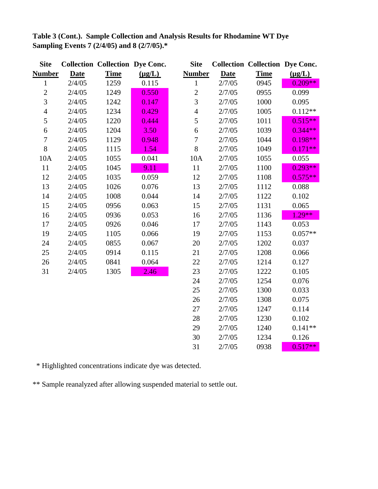| <b>Site</b>    |             | <b>Collection Collection Dye Conc.</b> |             | <b>Site</b>    |             | <b>Collection Collection Dye Conc.</b> |             |
|----------------|-------------|----------------------------------------|-------------|----------------|-------------|----------------------------------------|-------------|
| <b>Number</b>  | <b>Date</b> | <b>Time</b>                            | $(\mu g/L)$ | <b>Number</b>  | <b>Date</b> | <b>Time</b>                            | $(\mu g/L)$ |
| $\mathbf{1}$   | 2/4/05      | 1259                                   | 0.115       | $\mathbf{1}$   | 2/7/05      | 0945                                   | $0.209**$   |
| $\overline{2}$ | 2/4/05      | 1249                                   | 0.550       | $\overline{c}$ | 2/7/05      | 0955                                   | 0.099       |
| 3              | 2/4/05      | 1242                                   | 0.147       | 3              | 2/7/05      | 1000                                   | 0.095       |
| $\overline{4}$ | 2/4/05      | 1234                                   | 0.429       | $\overline{4}$ | 2/7/05      | 1005                                   | $0.112**$   |
| 5              | 2/4/05      | 1220                                   | 0.444       | 5              | 2/7/05      | 1011                                   | $0.515**$   |
| 6              | 2/4/05      | 1204                                   | 3.50        | $\sqrt{6}$     | 2/7/05      | 1039                                   | $0.344**$   |
| $\overline{7}$ | 2/4/05      | 1129                                   | 0.948       | $\overline{7}$ | 2/7/05      | 1044                                   | $0.198**$   |
| 8              | 2/4/05      | 1115                                   | 1.54        | $8\,$          | 2/7/05      | 1049                                   | $0.171**$   |
| 10A            | 2/4/05      | 1055                                   | 0.041       | 10A            | 2/7/05      | 1055                                   | 0.055       |
| 11             | 2/4/05      | 1045                                   | 9.11        | 11             | 2/7/05      | 1100                                   | $0.293**$   |
| 12             | 2/4/05      | 1035                                   | 0.059       | 12             | 2/7/05      | 1108                                   | $0.575**$   |
| 13             | 2/4/05      | 1026                                   | 0.076       | 13             | 2/7/05      | 1112                                   | 0.088       |
| 14             | 2/4/05      | 1008                                   | 0.044       | 14             | 2/7/05      | 1122                                   | 0.102       |
| 15             | 2/4/05      | 0956                                   | 0.063       | 15             | 2/7/05      | 1131                                   | 0.065       |
| 16             | 2/4/05      | 0936                                   | 0.053       | 16             | 2/7/05      | 1136                                   | $1.29**$    |
| 17             | 2/4/05      | 0926                                   | 0.046       | 17             | 2/7/05      | 1143                                   | 0.053       |
| 19             | 2/4/05      | 1105                                   | 0.066       | 19             | 2/7/05      | 1153                                   | $0.057**$   |
| 24             | 2/4/05      | 0855                                   | 0.067       | 20             | 2/7/05      | 1202                                   | 0.037       |
| 25             | 2/4/05      | 0914                                   | 0.115       | 21             | 2/7/05      | 1208                                   | 0.066       |
| 26             | 2/4/05      | 0841                                   | 0.064       | 22             | 2/7/05      | 1214                                   | 0.127       |
| 31             | 2/4/05      | 1305                                   | 2.46        | 23             | 2/7/05      | 1222                                   | 0.105       |
|                |             |                                        |             | 24             | 2/7/05      | 1254                                   | 0.076       |
|                |             |                                        |             | 25             | 2/7/05      | 1300                                   | 0.033       |
|                |             |                                        |             | 26             | 2/7/05      | 1308                                   | 0.075       |
|                |             |                                        |             | 27             | 2/7/05      | 1247                                   | 0.114       |
|                |             |                                        |             | 28             | 2/7/05      | 1230                                   | 0.102       |
|                |             |                                        |             | 29             | 2/7/05      | 1240                                   | $0.141**$   |
|                |             |                                        |             | 30             | 2/7/05      | 1234                                   | 0.126       |
|                |             |                                        |             | 31             | 2/7/05      | 0938                                   | $0.517**$   |

**Table 3 (Cont.). Sample Collection and Analysis Results for Rhodamine WT Dye Sampling Events 7 (2/4/05) and 8 (2/7/05).\***

\* Highlighted concentrations indicate dye was detected.

\*\* Sample reanalyzed after allowing suspended material to settle out.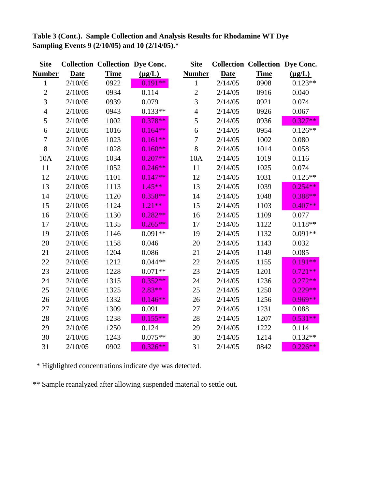| <b>Site</b>    |             | <b>Collection Collection Dye Conc.</b> |             | <b>Site</b>    |             | <b>Collection Collection Dye Conc.</b> |             |
|----------------|-------------|----------------------------------------|-------------|----------------|-------------|----------------------------------------|-------------|
| <u>Number</u>  | <b>Date</b> | <b>Time</b>                            | $(\mu g/L)$ | <b>Number</b>  | <b>Date</b> | <b>Time</b>                            | $(\mu g/L)$ |
| $\mathbf{1}$   | 2/10/05     | 0922                                   | $0.191**$   | $\mathbf{1}$   | 2/14/05     | 0908                                   | $0.123**$   |
| $\overline{2}$ | 2/10/05     | 0934                                   | 0.114       | $\overline{c}$ | 2/14/05     | 0916                                   | 0.040       |
| $\overline{3}$ | 2/10/05     | 0939                                   | 0.079       | $\overline{3}$ | 2/14/05     | 0921                                   | 0.074       |
| $\overline{4}$ | 2/10/05     | 0943                                   | $0.133**$   | $\overline{4}$ | 2/14/05     | 0926                                   | 0.067       |
| 5              | 2/10/05     | 1002                                   | $0.378**$   | 5              | 2/14/05     | 0936                                   | $0.327**$   |
| 6              | 2/10/05     | 1016                                   | $0.164**$   | 6              | 2/14/05     | 0954                                   | $0.126**$   |
| $\overline{7}$ | 2/10/05     | 1023                                   | $0.161**$   | 7              | 2/14/05     | 1002                                   | 0.080       |
| $8\,$          | 2/10/05     | 1028                                   | $0.160**$   | 8              | 2/14/05     | 1014                                   | 0.058       |
| 10A            | 2/10/05     | 1034                                   | $0.207**$   | 10A            | 2/14/05     | 1019                                   | 0.116       |
| 11             | 2/10/05     | 1052                                   | $0.246**$   | 11             | 2/14/05     | 1025                                   | 0.074       |
| 12             | 2/10/05     | 1101                                   | $0.147**$   | 12             | 2/14/05     | 1031                                   | $0.125**$   |
| 13             | 2/10/05     | 1113                                   | $1.45**$    | 13             | 2/14/05     | 1039                                   | $0.254**$   |
| 14             | 2/10/05     | 1120                                   | $0.358**$   | 14             | 2/14/05     | 1048                                   | $0.388**$   |
| 15             | 2/10/05     | 1124                                   | $1.21**$    | 15             | 2/14/05     | 1103                                   | $0.407**$   |
| 16             | 2/10/05     | 1130                                   | $0.282**$   | 16             | 2/14/05     | 1109                                   | 0.077       |
| 17             | 2/10/05     | 1135                                   | $0.265**$   | 17             | 2/14/05     | 1122                                   | $0.118**$   |
| 19             | 2/10/05     | 1146                                   | $0.091**$   | 19             | 2/14/05     | 1132                                   | $0.091**$   |
| 20             | 2/10/05     | 1158                                   | 0.046       | 20             | 2/14/05     | 1143                                   | 0.032       |
| 21             | 2/10/05     | 1204                                   | 0.086       | 21             | 2/14/05     | 1149                                   | 0.085       |
| 22             | 2/10/05     | 1212                                   | $0.044**$   | 22             | 2/14/05     | 1155                                   | $0.191**$   |
| 23             | 2/10/05     | 1228                                   | $0.071**$   | 23             | 2/14/05     | 1201                                   | $0.721**$   |
| 24             | 2/10/05     | 1315                                   | $0.352**$   | 24             | 2/14/05     | 1236                                   | $0.272**$   |
| 25             | 2/10/05     | 1325                                   | $2.83**$    | 25             | 2/14/05     | 1250                                   | $0.229**$   |
| 26             | 2/10/05     | 1332                                   | $0.146**$   | 26             | 2/14/05     | 1256                                   | $0.969**$   |
| 27             | 2/10/05     | 1309                                   | 0.091       | 27             | 2/14/05     | 1231                                   | 0.088       |
| 28             | 2/10/05     | 1238                                   | $0.155**$   | 28             | 2/14/05     | 1207                                   | $0.531**$   |
| 29             | 2/10/05     | 1250                                   | 0.124       | 29             | 2/14/05     | 1222                                   | 0.114       |
| 30             | 2/10/05     | 1243                                   | $0.075**$   | 30             | 2/14/05     | 1214                                   | $0.132**$   |
| 31             | 2/10/05     | 0902                                   | $0.326**$   | 31             | 2/14/05     | 0842                                   | $0.226**$   |

**Table 3 (Cont.). Sample Collection and Analysis Results for Rhodamine WT Dye Sampling Events 9 (2/10/05) and 10 (2/14/05).\***

\* Highlighted concentrations indicate dye was detected.

\*\* Sample reanalyzed after allowing suspended material to settle out.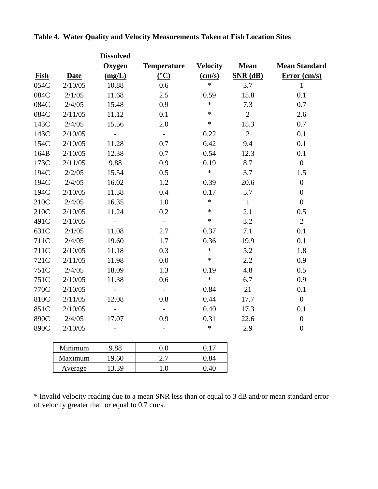|      |             | <b>Dissolved</b>  |                           |                 |                |                      |
|------|-------------|-------------------|---------------------------|-----------------|----------------|----------------------|
|      |             | Oxygen            | <b>Temperature</b>        | <b>Velocity</b> | <b>Mean</b>    | <b>Mean Standard</b> |
| Fish | <b>Date</b> | (mg/L)            | $\rm ^{(°}C)$             | (cm/s)          | $SNR$ (dB)     | Error (cm/s)         |
| 054C | 2/10/05     | 10.88             | 0.6                       | $\ast$          | 3.7            | $\mathbf{1}$         |
| 084C | 2/1/05      | 11.68             | 2.5                       | 0.59            | 15.8           | 0.1                  |
| 084C | 2/4/05      | 15.48             | 0.9                       | $\ast$          | 7.3            | 0.7                  |
| 084C | 2/11/05     | 11.12             | 0.1                       | $\ast$          | $\overline{2}$ | 2.6                  |
| 143C | 2/4/05      | 15.56             | 2.0                       | $\ast$          | 15.3           | 0.7                  |
| 143C | 2/10/05     | $\overline{a}$    | $\mathbb{L}^{\mathbb{N}}$ | 0.22            | $\overline{2}$ | 0.1                  |
| 154C | 2/10/05     | 11.28             | 0.7                       | 0.42            | 9.4            | 0.1                  |
| 164B | 2/10/05     | 12.38             | 0.7                       | 0.54            | 12.3           | 0.1                  |
| 173C | 2/11/05     | 9.88              | 0.9                       | 0.19            | 8.7            | $\mathbf{0}$         |
| 194C | 2/2/05      | 15.54             | 0.5                       | $\ast$          | 3.7            | 1.5                  |
| 194C | 2/4/05      | 16.02             | 1.2                       | 0.39            | 20.6           | $\boldsymbol{0}$     |
| 194C | 2/10/05     | 11.38             | 0.4                       | 0.17            | 5.7            | $\boldsymbol{0}$     |
| 210C | 2/4/05      | 16.35             | 1.0                       | $\ast$          | $\mathbf{1}$   | $\overline{0}$       |
| 210C | 2/10/05     | 11.24             | 0.2                       | $\ast$          | 2.1            | 0.5                  |
| 491C | 2/10/05     |                   | $\bar{\mathcal{L}}$       | $\ast$          | 3.2            | $\overline{2}$       |
| 631C | 2/1/05      | 11.08             | 2.7                       | 0.37            | 7.1            | 0.1                  |
| 711C | 2/4/05      | 19.60             | 1.7                       | 0.36            | 19.9           | 0.1                  |
| 711C | 2/10/05     | 11.18             | 0.3                       | $\ast$          | 5.2            | 1.8                  |
| 721C | 2/11/05     | 11.98             | 0.0                       | $\ast$          | 2.2            | 0.9                  |
| 751C | 2/4/05      | 18.09             | 1.3                       | 0.19            | 4.8            | 0.5                  |
| 751C | 2/10/05     | 11.38             | 0.6                       | $\ast$          | 6.7            | 0.9                  |
| 770C | 2/10/05     | $\qquad \qquad -$ | $\overline{\phantom{a}}$  | 0.84            | 21             | 0.1                  |
| 810C | 2/11/05     | 12.08             | 0.8                       | 0.44            | 17.7           | $\boldsymbol{0}$     |
| 851C | 2/10/05     | $\overline{a}$    | $\overline{\phantom{a}}$  | 0.40            | 17.3           | 0.1                  |
| 890C | 2/4/05      | 17.07             | 0.9                       | 0.31            | 22.6           | $\boldsymbol{0}$     |
| 890C | 2/10/05     |                   |                           | $\ast$          | 2.9            | $\boldsymbol{0}$     |
|      | Minimum     | 9.88              | 0.0                       | 0.17            |                |                      |
|      | Maximum     | 19.60             | 2.7                       | 0.84            |                |                      |

**Table 4. Water Quality and Velocity Measurements Taken at Fish Location Sites** 

\* Invalid velocity reading due to a mean SNR less than or equal to 3 dB and/or mean standard error of velocity greater than or equal to 0.7 cm/s.

Average 13.39 1.0 0.40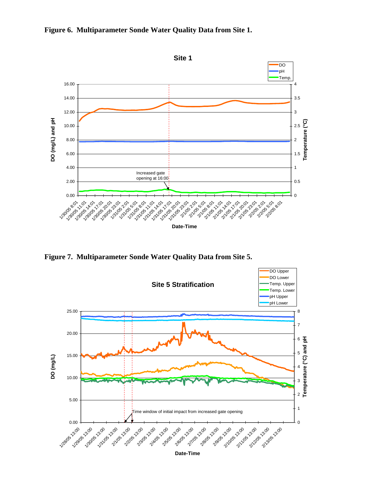



**Figure 7. Multiparameter Sonde Water Quality Data from Site 5.** 



**Date-Time**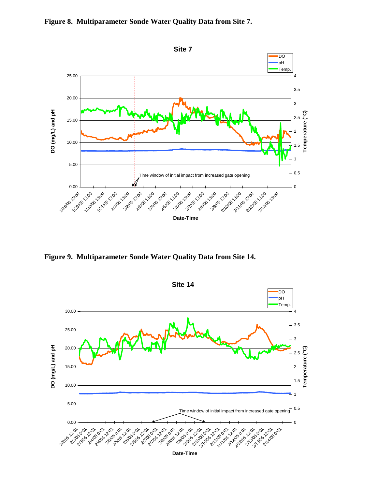



**Figure 9. Multiparameter Sonde Water Quality Data from Site 14.**



**Date-Time**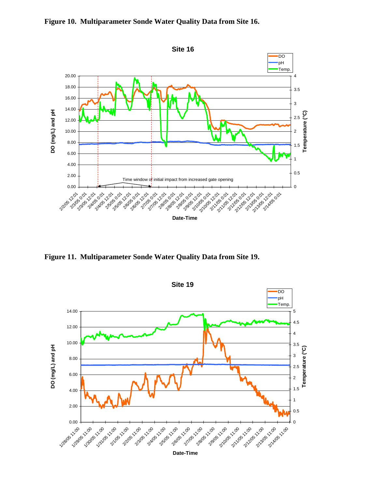

**Figure 10. Multiparameter Sonde Water Quality Data from Site 16.** 

**Figure 11. Multiparameter Sonde Water Quality Data from Site 19.** 

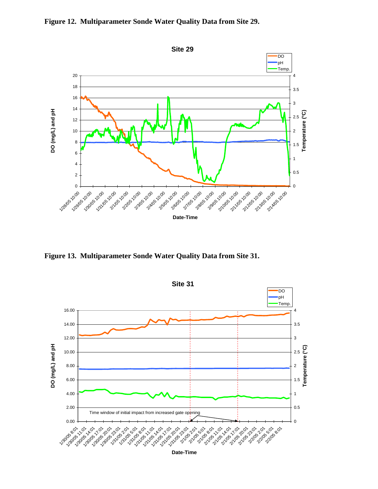



**Figure 13. Multiparameter Sonde Water Quality Data from Site 31.** 

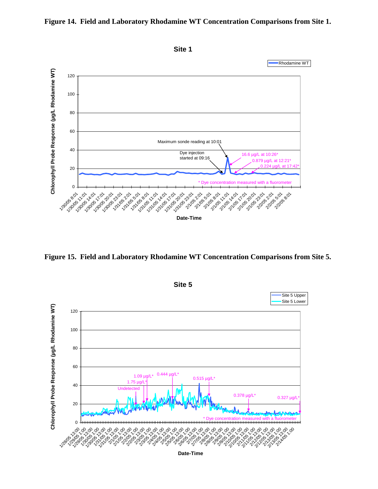

#### **Figure 14. Field and Laboratory Rhodamine WT Concentration Comparisons from Site 1.**

**Figure 15. Field and Laboratory Rhodamine WT Concentration Comparisons from Site 5.** 



**Date-Time**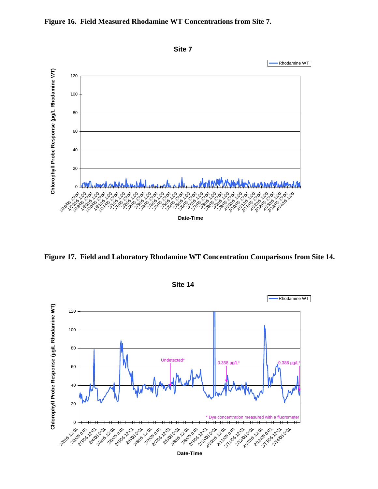



**Figure 17. Field and Laboratory Rhodamine WT Concentration Comparisons from Site 14.** 

**Site 14**



**Date-Time**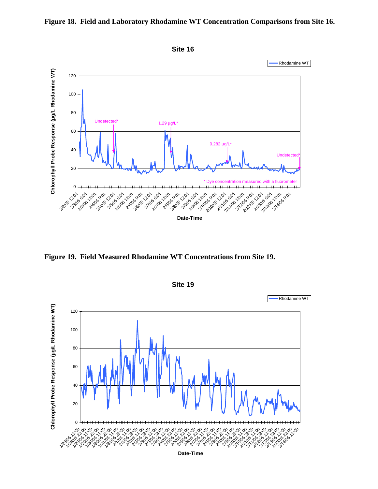



**Figure 19. Field Measured Rhodamine WT Concentrations from Site 19.** 



**Site 19**

**Date-Time**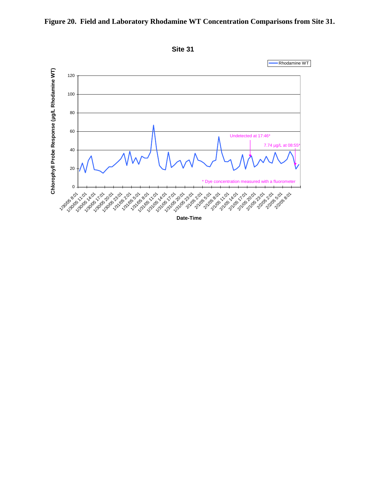

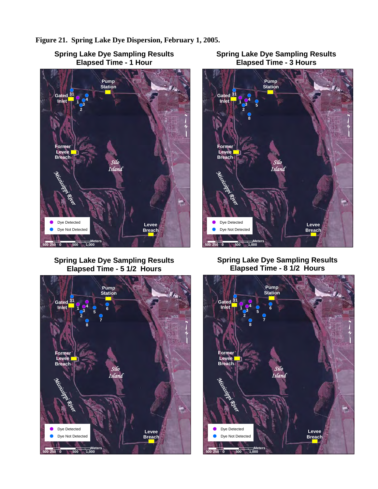



**Spring Lake Dye Sampling Results Elapsed Time - 1 Hour**

**Spring Lake Dye Sampling Results Elapsed Time - 5 1/2 Hours**







**Spring Lake Dye Sampling Results Elapsed Time - 8 1/2 Hours**

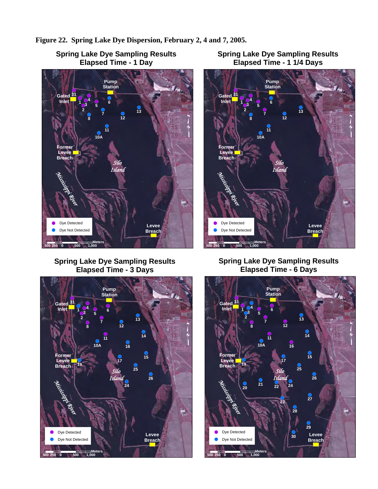



#### **Spring Lake Dye Sampling Results Elapsed Time - 1 Day**

## **Spring Lake Dye Sampling Results Elapsed Time - 3 Days**



## **Spring Lake Dye Sampling Results Elapsed Time - 1 1/4 Days**



## **Spring Lake Dye Sampling Results Elapsed Time - 6 Days**

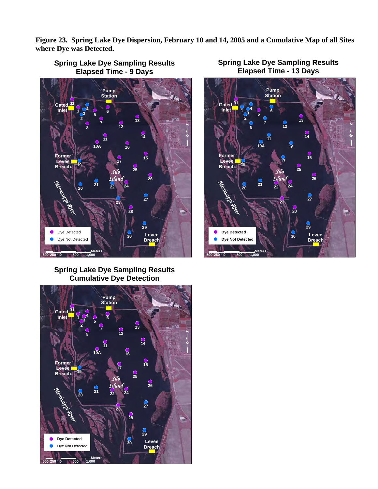**Figure 23. Spring Lake Dye Dispersion, February 10 and 14, 2005 and a Cumulative Map of all Sites where Dye was Detected.**



## **Spring Lake Dye Sampling Results Elapsed Time - 9 Days**

**Spring Lake Dye Sampling Results Cumulative Dye Detection**





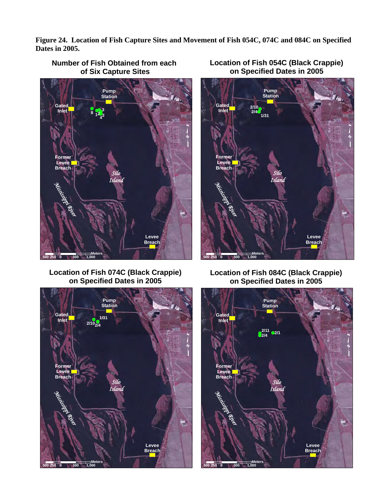**Figure 24. Location of Fish Capture Sites and Movement of Fish 054C, 074C and 084C on Specified Dates in 2005.** 



### **Number of Fish Obtained from each of Six Capture Sites**



**Location of Fish 074C (Black Crappie) on Specified Dates in 2005**



**Location of Fish 084C (Black Crappie) on Specified Dates in 2005**



**Location of Fish 054C (Black Crappie) on Specified Dates in 2005**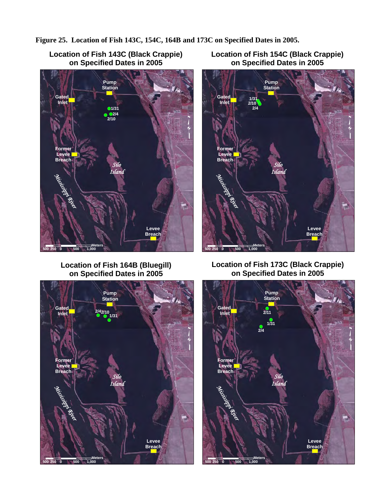**Figure 25. Location of Fish 143C, 154C, 164B and 173C on Specified Dates in 2005.** 



**Location of Fish 164B (Bluegill) on Specified Dates in 2005**



**Location of Fish 154C (Black Crappie) on Specified Dates in 2005**



## **Location of Fish 173C (Black Crappie) on Specified Dates in 2005**

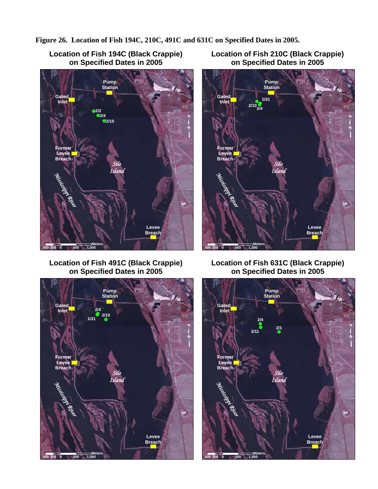**Figure 26. Location of Fish 194C, 210C, 491C and 631C on Specified Dates in 2005.** 



**Location of Fish 491C (Black Crappie) on Specified Dates in 2005**



**Location of Fish 210C (Black Crappie) on Specified Dates in 2005**



**Location of Fish 631C (Black Crappie) on Specified Dates in 2005**

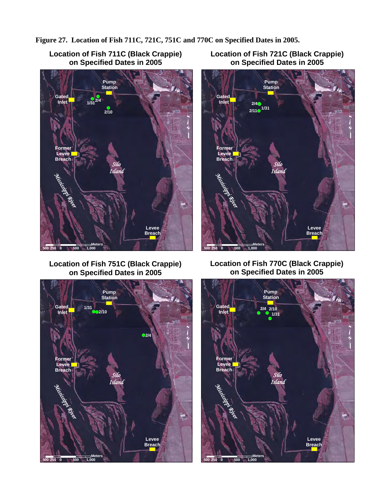**Figure 27. Location of Fish 711C, 721C, 751C and 770C on Specified Dates in 2005.** 



**Location of Fish 751C (Black Crappie) on Specified Dates in 2005**



**Location of Fish 721C (Black Crappie) on Specified Dates in 2005**



**Location of Fish 770C (Black Crappie) on Specified Dates in 2005**